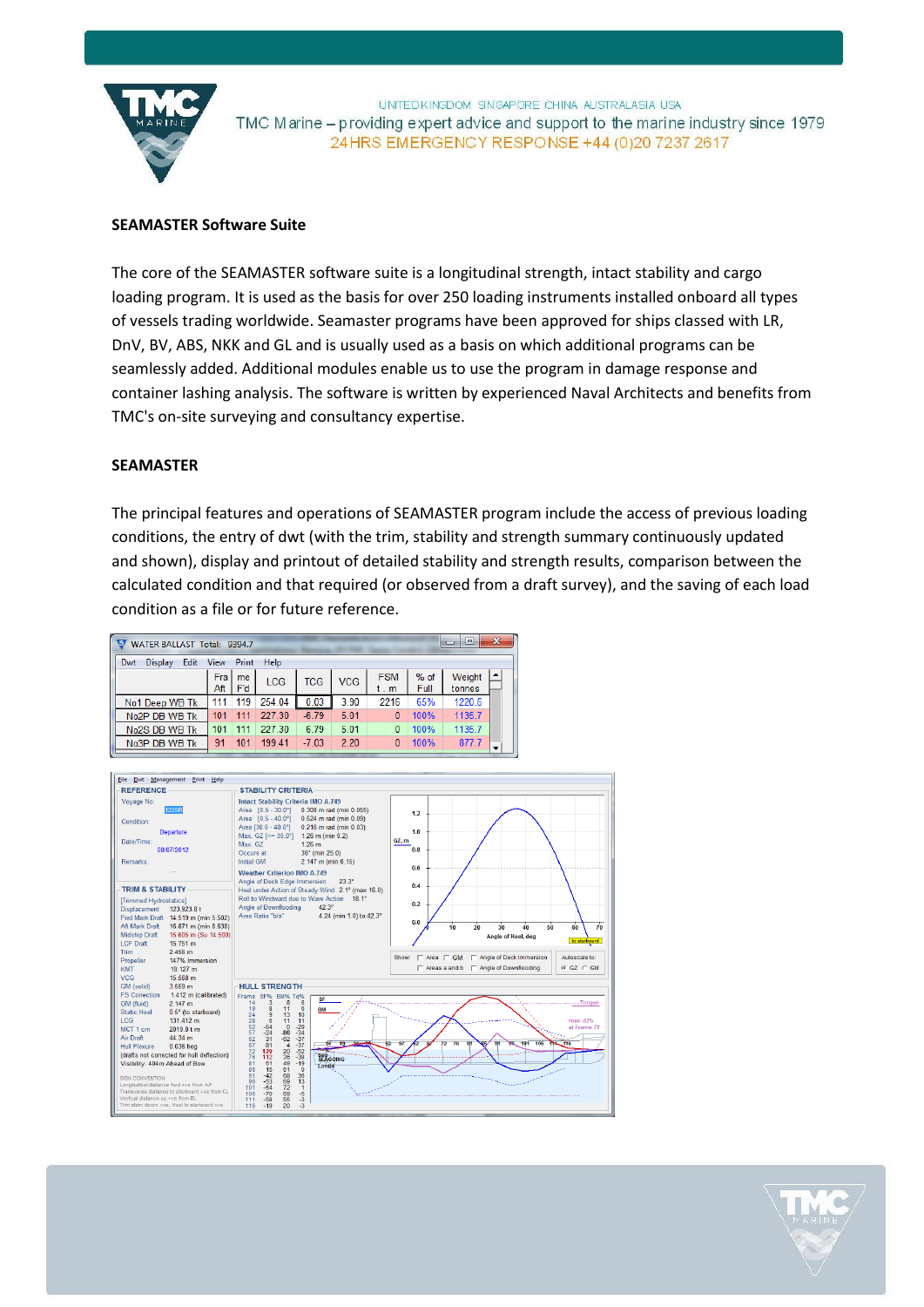

UNTEDKINGDOM SINGAPORE CHINA AUSTRALASIA USA TMC Marine – providing expert advice and support to the marine industry since 1979 24 HRS EMERGENCY RESPONSE +44 (0) 20 7237 2617

# **SEAMASTER Software Suite**

The core of the SEAMASTER software suite is a longitudinal strength, intact stability and cargo loading program. It is used as the basis for over 250 loading instruments installed onboard all types of vessels trading worldwide. Seamaster programs have been approved for ships classed with LR, DnV, BV, ABS, NKK and GL and is usually used as a basis on which additional programs can be seamlessly added. Additional modules enable us to use the program in damage response and container lashing analysis. The software is written by experienced Naval Architects and benefits from TMC's on-site surveying and consultancy expertise.

## **SEAMASTER**

The principal features and operations of SEAMASTER program include the access of previous loading conditions, the entry of dwt (with the trim, stability and strength summary continuously updated and shown), display and printout of detailed stability and strength results, comparison between the calculated condition and that required (or observed from a draft survey), and the saving of each load condition as a file or for future reference.

| WATER BALLAST Total: 9394.7   |             |           |        |            |            |                   |                | ▣<br>$\Box$      | $\boldsymbol{\mathsf{x}}$ |
|-------------------------------|-------------|-----------|--------|------------|------------|-------------------|----------------|------------------|---------------------------|
| Edit<br>Dwt<br><b>Display</b> | <b>View</b> | Print     | Help   |            |            |                   |                |                  |                           |
|                               | Fra<br>Aft  | me<br>F'd | LCG    | <b>TCG</b> | <b>VCG</b> | <b>FSM</b><br>t.m | $%$ of<br>Full | Weight<br>tonnes | $\blacktriangle$          |
| No1 Deep WB Tk                | 111         | 119       | 254.04 | 0.03       | 3.90       | 2216              | 65%            | 1220.6           |                           |
| No <sub>2</sub> P DB WB Tk    | 101         | 111       | 227.30 | $-6.79$    | 5.01       | 0                 | 100%           | 1135.7           |                           |
| No2S DB WB Tk                 | 101         | 111       | 227 30 | 6.79       | 5.01       | 0                 | 100%           | 1135.7           |                           |
| No3P DB WB Tk                 | 91          | 101       | 199 41 | $-7.03$    | 2.20       | 0                 | 100%           | 877.7            | ▼                         |



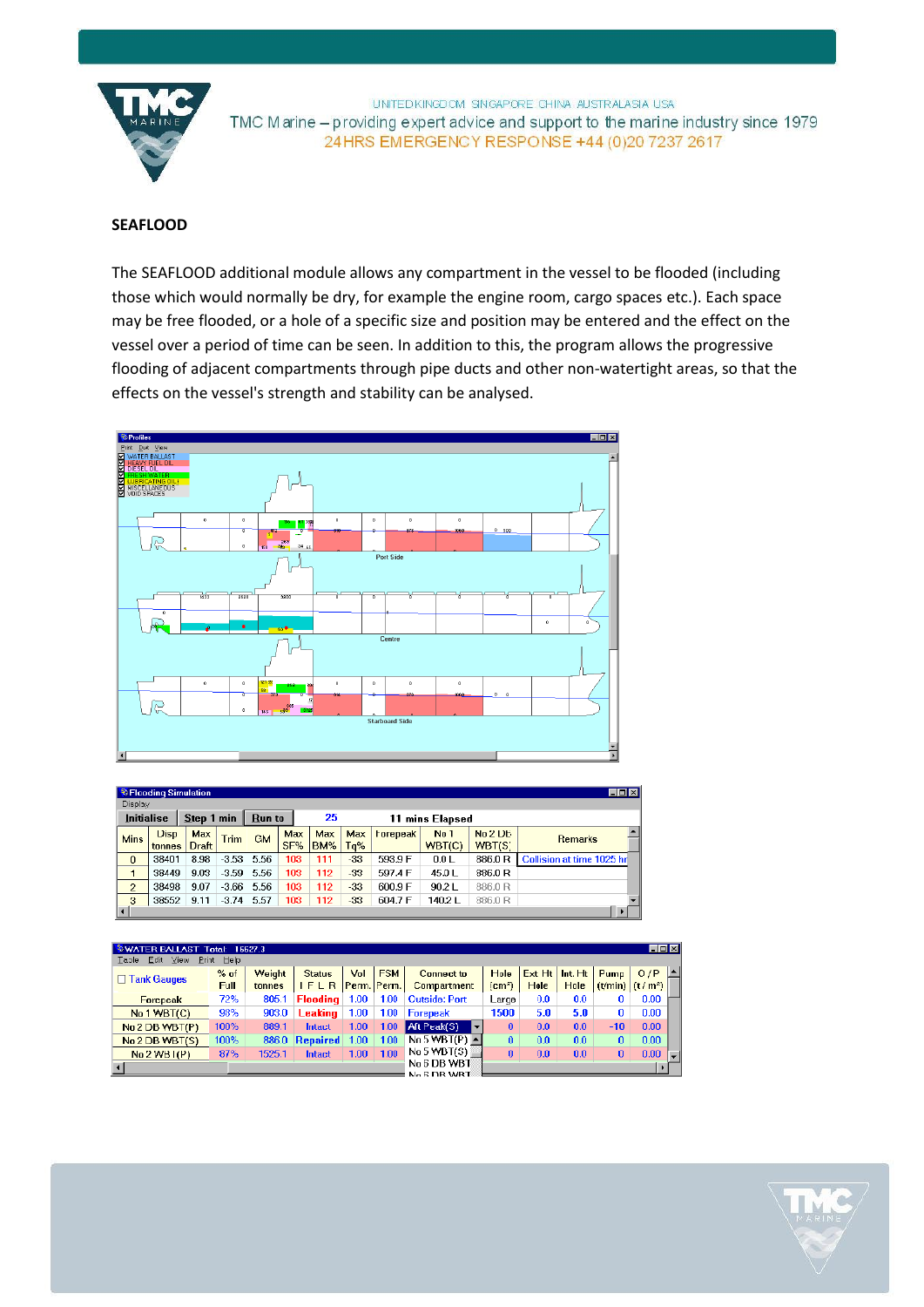

UNITED KINGDOM SINGAPORE CHINA AUSTRALASIA USA TMC Marine - providing expert advice and support to the marine industry since 1979 24 HRS EMERGENCY RESPONSE +44 (0) 20 7237 2617

# **SEAFLOOD**

The SEAFLOOD additional module allows any compartment in the vessel to be flooded (including those which would normally be dry, for example the engine room, cargo spaces etc.). Each space may be free flooded, or a hole of a specific size and position may be entered and the effect on the vessel over a period of time can be seen. In addition to this, the program allows the progressive flooding of adjacent compartments through pipe ducts and other non-watertight areas, so that the effects on the vessel's strength and stability can be analysed.



|                   | <b>S</b> Flooding Simulation |              |             |               |     |     |            |                 |              |         | $\Box$                                     |
|-------------------|------------------------------|--------------|-------------|---------------|-----|-----|------------|-----------------|--------------|---------|--------------------------------------------|
| Display           |                              |              |             |               |     |     |            |                 |              |         |                                            |
| <b>Initialise</b> |                              | Step 1 min   |             | <b>Run to</b> |     | 25  |            | 11              | mins Elapsed |         |                                            |
| <b>Mins</b>       | <b>Disp</b>                  | <b>Max</b>   | <b>Trim</b> | <b>GM</b>     | Max | Max | <b>Max</b> | <b>Forepeak</b> | <b>No 1</b>  | No 2 DE | $\overline{\phantom{a}}$<br><b>Remarks</b> |
|                   | tonnes                       | <b>Draft</b> |             |               | SF% | BM% | Ta%        |                 | WBT(C)       | WBT(S)  |                                            |
| $\bf{0}$          | 38401                        | 8.98         | $-3.53$     | 5.56          | 103 | 111 | $-33$      | 593.9 F         | 0.0 L        | 886.0R  | Collision at time 1025 hr                  |
|                   | 38449                        | 9.03         | $-3.59$     | 5.56          | 103 | 112 | $-33$      | 597.4 F         | 45.0L        | 886.0R  |                                            |
| $\overline{2}$    | 38498                        | 9.07         | $-3.66$     | 5.56          | 103 | 112 | -33        | 600.9 F         | 90.2L        | 886.0R  |                                            |
| 3                 | 38552                        | 9.11         | $-3.74$     | 5.57          | 103 | 112 | $-33$      | 604.7 F         | 140.2L       | 886.0R  | $\overline{\phantom{a}}$                   |
| ∣∢∣               |                              |              |             |               |     |     |            |                 |              |         |                                            |

| <b>WATER BALLAST Total:</b>                                                                      |             | 16627.3 |                 |             |            |                            |                   |        |                |          | EDE                 |  |
|--------------------------------------------------------------------------------------------------|-------------|---------|-----------------|-------------|------------|----------------------------|-------------------|--------|----------------|----------|---------------------|--|
| Edit<br>View<br>Print<br>Table                                                                   | Help        |         |                 |             |            |                            |                   |        |                |          |                     |  |
| $\Box$ Tank Gauges<br>Forepeak<br>No 1 WBT(C)<br>No 2 DB WBT(P)<br>No 2 DB WBT(S)<br>No 2 WB (P) | $%$ of      | Weight  | <b>Status</b>   | Vol         | <b>FSM</b> | Connect to                 | Hole              | Ext Ht | Int.Ht         | Pump     | O/P                 |  |
|                                                                                                  | <b>Full</b> | tonnes  | IFLR            | Perm. Perm. |            | <b>Compartment</b>         | $\mathsf{(cm^2)}$ | Hole   | Hole           | (t/min)  | (t/m <sup>2</sup> ) |  |
|                                                                                                  | 72%         | 805.1   | <b>Flooding</b> | 1.00        | 1.00       | <b>Outside: Port</b>       | Large             | 0.0    | 0.0            | 0        | 0.00                |  |
|                                                                                                  | 98%         | 903.0   | Leaking         | 1.00        | 1.00       | <b>Forepeak</b>            | 1500              | 5.0    | 5.0            | 0        | 0.00                |  |
|                                                                                                  | 100%        | 889.1   | Intact          | 1.00        | 1.00       | ا Aft Peak(S) -<br>▸       | $\bf{0}$          | 0.0    | 0.0            | $-10$    | 0.00                |  |
|                                                                                                  | 100%        |         | 886.0 Repaired  | 1.00        | 1.00       | No 5 WBT(P) $\triangle$    | $\mathbf{u}$      | 0.0    | 0 <sub>0</sub> | $\Omega$ | 0.00                |  |
|                                                                                                  | 87%         | 1525.1  | Intact          | 1.00        | 1.00       | No 5 WDT(S)                | $\bf{0}$          | 0.0    | 0.0            | $\bf{0}$ | 0.00                |  |
|                                                                                                  |             |         |                 |             |            | No 6 DB WBT<br>No & DR WRT |                   |        |                |          |                     |  |
|                                                                                                  |             |         |                 |             |            |                            |                   |        |                |          |                     |  |

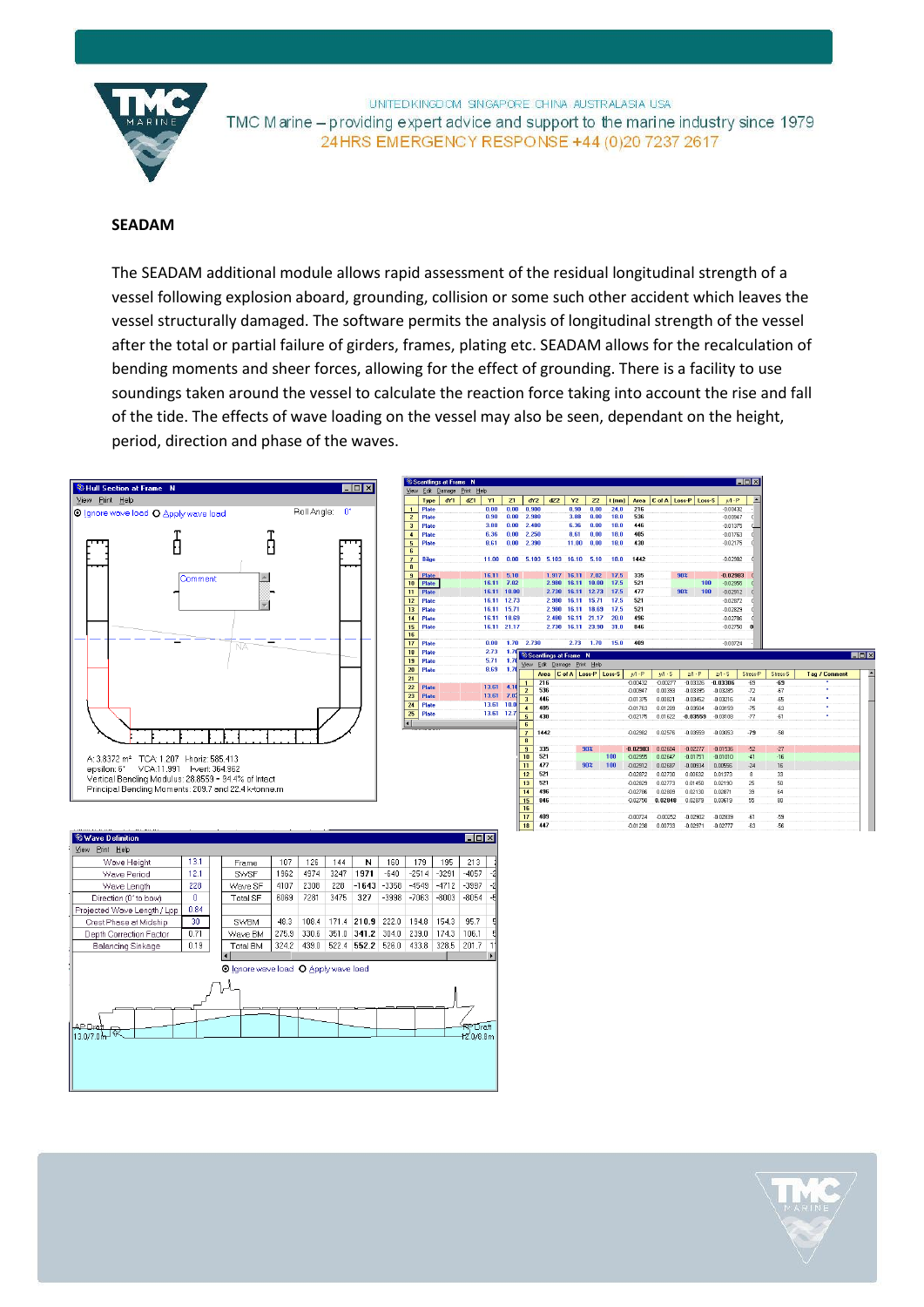

UNITED KINGDOM SINGAPORE CHINA AUSTRALASIA USA TMC Marine – providing expert advice and support to the marine industry since 1979 24 HRS EMERGENCY RESPONSE +44 (0) 20 7237 2617

### **SEADAM**

The SEADAM additional module allows rapid assessment of the residual longitudinal strength of a vessel following explosion aboard, grounding, collision or some such other accident which leaves the vessel structurally damaged. The software permits the analysis of longitudinal strength of the vessel after the total or partial failure of girders, frames, plating etc. SEADAM allows for the recalculation of bending moments and sheer forces, allowing for the effect of grounding. There is a facility to use soundings taken around the vessel to calculate the reaction force taking into account the rise and fall of the tide. The effects of wave loading on the vessel may also be seen, dependant on the height, period, direction and phase of the waves.

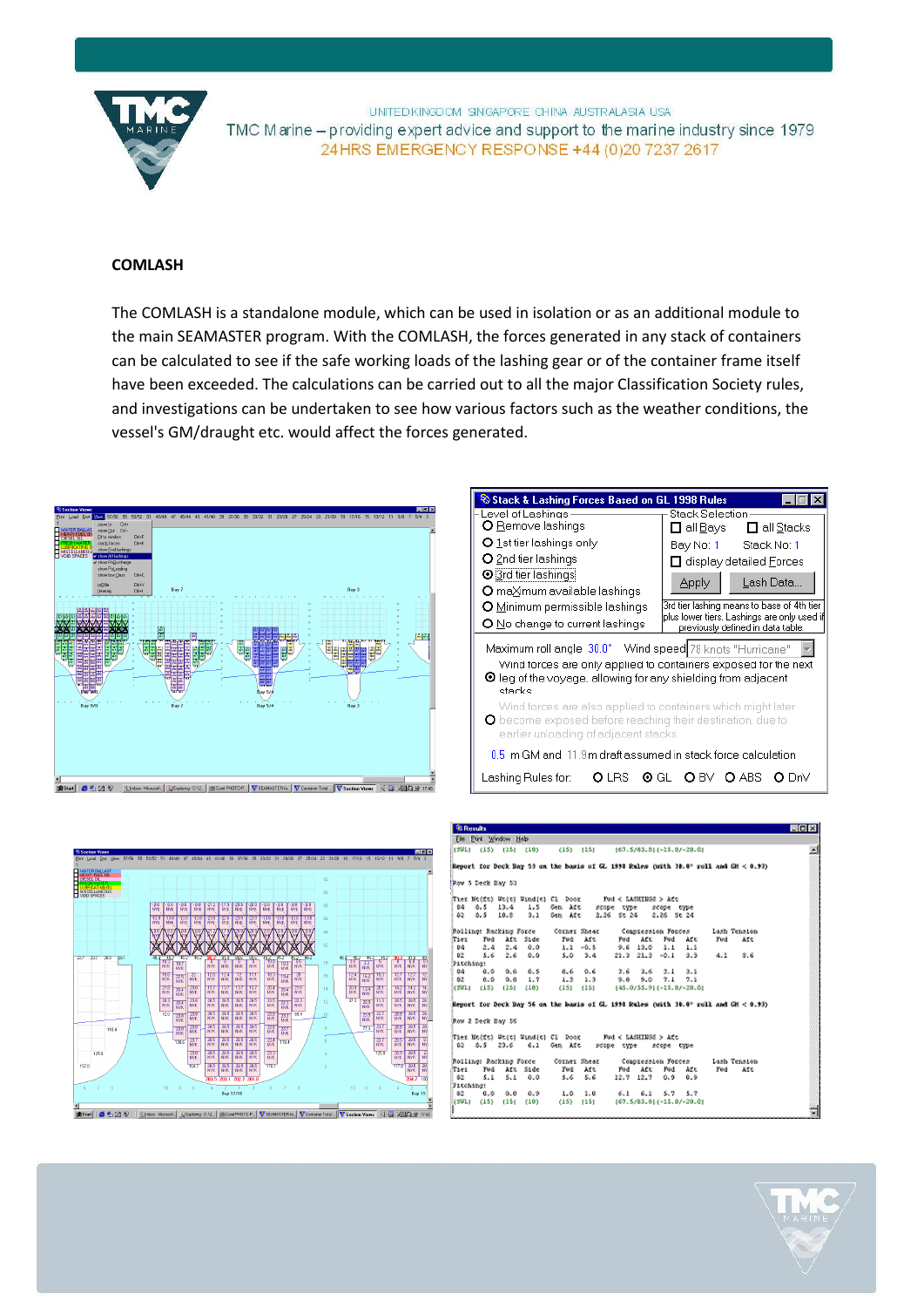

UNITED KINGDOM SINGAPORE CHINA AUSTRALASIA USA TMC Marine – providing expert advice and support to the marine industry since 1979 24 HRS EMERGENCY RESPONSE +44 (0) 20 7237 2617

## **COMLASH**

The COMLASH is a standalone module, which can be used in isolation or as an additional module to the main SEAMASTER program. With the COMLASH, the forces generated in any stack of containers can be calculated to see if the safe working loads of the lashing gear or of the container frame itself have been exceeded. The calculations can be carried out to all the major Classification Society rules, and investigations can be undertaken to see how various factors such as the weather conditions, the vessel's GM/draught etc. would affect the forces generated.







|                         | <b><i>E Rorutz</i></b> |                        |                      |                                                           |                                         |     |               |                         |                     |              |                                                                                        | <b>EDIX</b> |
|-------------------------|------------------------|------------------------|----------------------|-----------------------------------------------------------|-----------------------------------------|-----|---------------|-------------------------|---------------------|--------------|----------------------------------------------------------------------------------------|-------------|
|                         |                        | File Print Window Help |                      |                                                           |                                         |     |               |                         |                     |              |                                                                                        |             |
|                         |                        | (SWL) (15) (15) (10)   |                      |                                                           | (15) (25) (67, 5/83, 8) (-25, 07-20, 0) |     |               |                         |                     |              |                                                                                        |             |
|                         |                        |                        |                      |                                                           |                                         |     |               |                         |                     |              | Report for Deck Bay 53 on the hasis of GL 1998 Rules (with 38.0° roll and GH $<$ 0.93) |             |
|                         | Row 5 Deck Bay 53      |                        |                      |                                                           |                                         |     |               |                         |                     |              |                                                                                        |             |
|                         |                        |                        |                      |                                                           |                                         |     |               |                         |                     |              |                                                                                        |             |
| 84.                     | 8.5                    | 13.4                   |                      | 1.5 Gen Aft scope type                                    |                                         |     |               | scope twoe              |                     |              |                                                                                        |             |
|                         |                        | 82 8.5 18.8            |                      | 3.1 Sen Aft 2.26 St 24 2.26 St 24                         |                                         |     |               |                         |                     |              |                                                                                        |             |
|                         |                        |                        |                      | Rolling: Racking Force Corner Shear                       |                                         |     |               |                         | Communession Forces | Lash Tension |                                                                                        |             |
| Tier                    |                        | Fod Aft Side           |                      |                                                           | Fud Aft                                 |     | Fud Aft       | Pard.                   | Aft                 | Fud          | まてき                                                                                    |             |
| 84.                     |                        | $2.4$ $2.4$ $0.0$      |                      |                                                           | $1.1 - 0.5$                             |     |               | 9.6 13.0 1.1 1.1        |                     |              |                                                                                        |             |
| 82.                     |                        | 5.62.6                 | 0.0                  |                                                           | $5.0 - 3.4$                             |     |               | $21.3$ $21.3$ $-0.1$    | $3.3 -$             | 4.1          | 8.6                                                                                    |             |
| Fitching:               |                        |                        |                      |                                                           |                                         |     |               |                         |                     |              |                                                                                        |             |
| 84.                     |                        | 0.0 0.0                | 0.5                  |                                                           | $0.6$ $0.6$                             | 3.6 |               | $3.6$ $3.1$ $3.1$       |                     |              |                                                                                        |             |
| 82                      |                        | $0.0$ $0.0$ $1.7$      |                      | $1.3$ $1.3$ $9.0$                                         |                                         |     | 9.0           | 7.1                     | 7.1                 |              |                                                                                        |             |
|                         |                        |                        | (SWL) (15) (15) (10) |                                                           | (15) (25) (45.0/55.9) (-25.0/-20.0)     |     |               |                         |                     |              |                                                                                        |             |
|                         |                        |                        |                      |                                                           |                                         |     |               |                         |                     |              | Report for Deck Bay 56 on the basis of GL 1998 Reles (with 30.0° roll and GH $<$ 0.93) |             |
| Row 2 Deck Bay 56       |                        |                        |                      |                                                           |                                         |     |               |                         |                     |              |                                                                                        |             |
|                         |                        |                        |                      | Tier Ho(ft) Wo(t) Wind(t) Cl Door -- Fod < LANKINGS > Aft |                                         |     |               |                         |                     |              |                                                                                        |             |
|                         |                        |                        |                      | 02 0.5 23.6 6.1 Gen Aft scope type scope type             |                                         |     |               |                         |                     |              |                                                                                        |             |
|                         |                        |                        |                      | <b>Bolling: Racking Force - Corner Shear</b>              |                                         |     |               |                         | Compression Forces  | lash Tension |                                                                                        |             |
|                         |                        | Fod Aft Side           |                      |                                                           | Fod Aft                                 |     | Fud ACC       |                         | Fud Aft             | Fud          | ますの                                                                                    |             |
| $82 -$                  | 5.1                    |                        | $5.1 \t0.0$          |                                                           | 5.65.6                                  |     | $12.7$ $12.7$ |                         | $0.9\ 0.9$          |              |                                                                                        |             |
|                         |                        |                        |                      |                                                           |                                         |     |               |                         |                     |              |                                                                                        |             |
| Tier<br>Fitching:<br>82 |                        | 0.0 0.0                | 0.9                  | $1.0 \t1.0$                                               | (15) (15) (67.5/83.8) (-15.0/-20.0)     |     |               | $6.1$ $6.1$ $5.7$ $5.7$ |                     |              |                                                                                        |             |